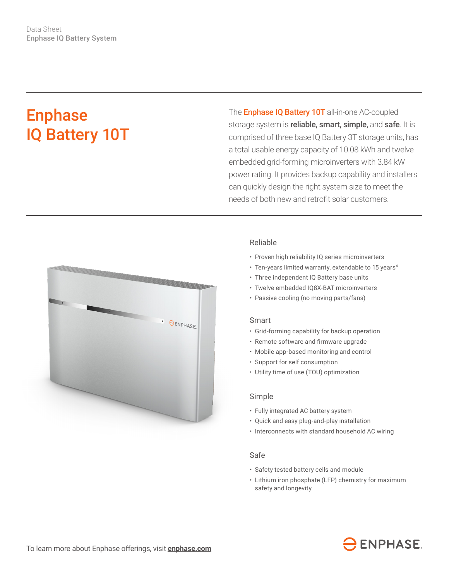# Enphase IQ Battery 10T

The **Enphase IQ Battery 10T** all-in-one AC-coupled storage system is reliable, smart, simple, and safe. It is comprised of three base IQ Battery 3T storage units, has a total usable energy capacity of 10.08 kWh and twelve embedded grid-forming microinverters with 3.84 kW power rating. It provides backup capability and installers can quickly design the right system size to meet the needs of both new and retrofit solar customers.



# Reliable

- Proven high reliability IQ series microinverters
- Ten-years limited warranty, extendable to 15 years<sup>4</sup>
- Three independent IQ Battery base units
- Twelve embedded IQ8X-BAT microinverters
- Passive cooling (no moving parts/fans)

#### Smart

- Grid-forming capability for backup operation
- • Remote software and firmware upgrade
- Mobile app-based monitoring and control
- Support for self consumption
- Utility time of use (TOU) optimization

### Simple

- Fully integrated AC battery system
- Quick and easy plug-and-play installation
- Interconnects with standard household AC wiring

### Safe

- Safety tested battery cells and module
- Lithium iron phosphate (LFP) chemistry for maximum safety and longevity